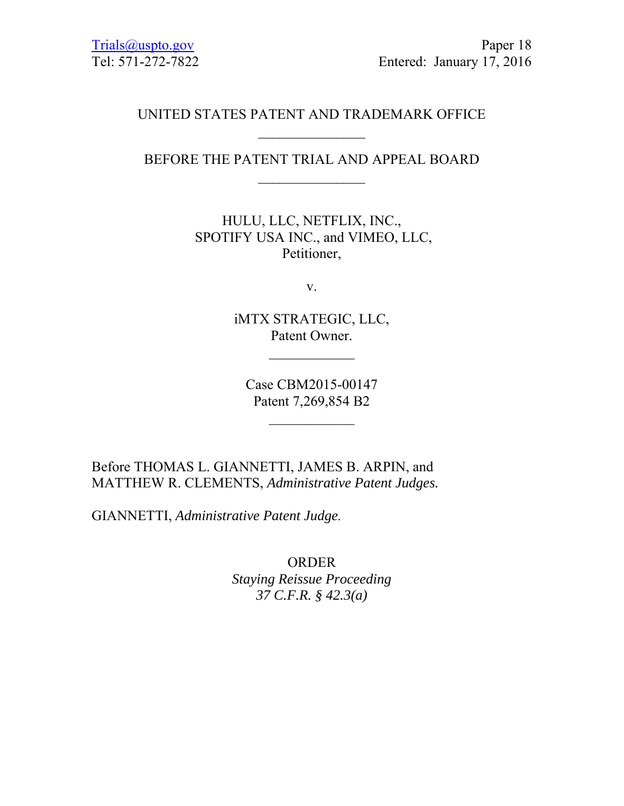## UNITED STATES PATENT AND TRADEMARK OFFICE

BEFORE THE PATENT TRIAL AND APPEAL BOARD

HULU, LLC, NETFLIX, INC., SPOTIFY USA INC., and VIMEO, LLC, Petitioner,

v.

iMTX STRATEGIC, LLC, Patent Owner.

 $\frac{1}{2}$ 

Case CBM2015-00147 Patent 7,269,854 B2

 $\frac{1}{2}$ 

Before THOMAS L. GIANNETTI, JAMES B. ARPIN, and MATTHEW R. CLEMENTS, *Administrative Patent Judges.*

GIANNETTI, *Administrative Patent Judge.* 

ORDER *Staying Reissue Proceeding 37 C.F.R. § 42.3(a)*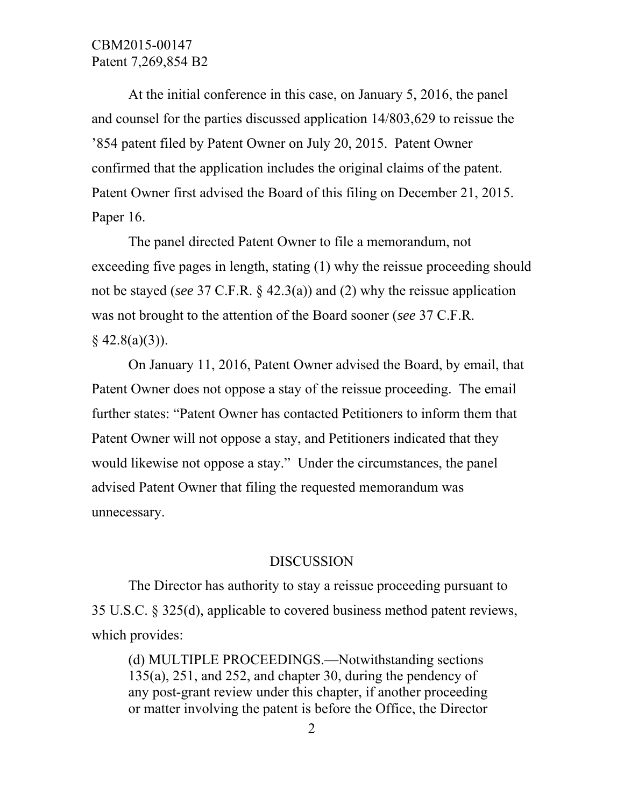# CBM2015-00147 Patent 7,269,854 B2

 At the initial conference in this case, on January 5, 2016, the panel and counsel for the parties discussed application 14/803,629 to reissue the '854 patent filed by Patent Owner on July 20, 2015. Patent Owner confirmed that the application includes the original claims of the patent. Patent Owner first advised the Board of this filing on December 21, 2015. Paper 16.

 The panel directed Patent Owner to file a memorandum, not exceeding five pages in length, stating (1) why the reissue proceeding should not be stayed (*see* 37 C.F.R. § 42.3(a)) and (2) why the reissue application was not brought to the attention of the Board sooner (*see* 37 C.F.R.  $§$  42.8(a)(3)).

 On January 11, 2016, Patent Owner advised the Board, by email, that Patent Owner does not oppose a stay of the reissue proceeding. The email further states: "Patent Owner has contacted Petitioners to inform them that Patent Owner will not oppose a stay, and Petitioners indicated that they would likewise not oppose a stay." Under the circumstances, the panel advised Patent Owner that filing the requested memorandum was unnecessary.

#### DISCUSSION

 The Director has authority to stay a reissue proceeding pursuant to 35 U.S.C. § 325(d), applicable to covered business method patent reviews, which provides:

(d) MULTIPLE PROCEEDINGS.—Notwithstanding sections 135(a), 251, and 252, and chapter 30, during the pendency of any post-grant review under this chapter, if another proceeding or matter involving the patent is before the Office, the Director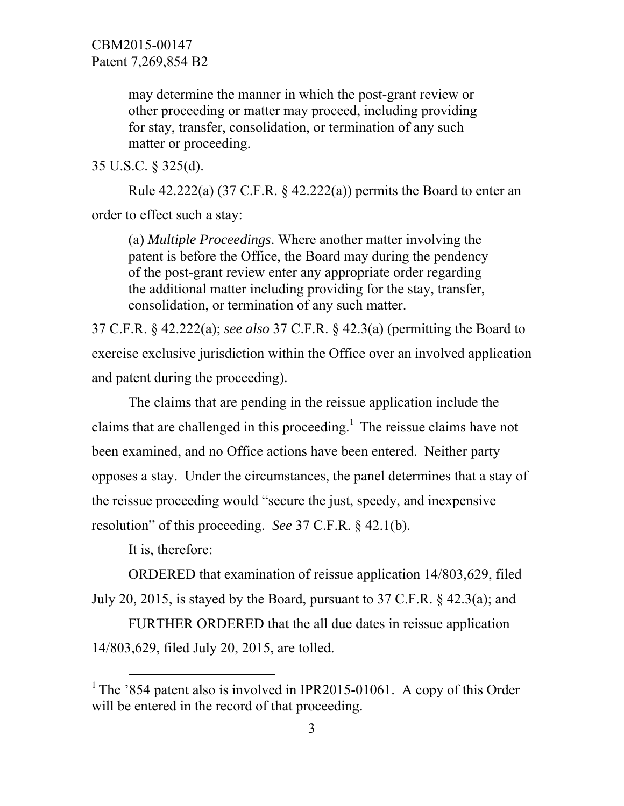may determine the manner in which the post-grant review or other proceeding or matter may proceed, including providing for stay, transfer, consolidation, or termination of any such matter or proceeding.

35 U.S.C. § 325(d).

Rule  $42.222(a)$  (37 C.F.R. §  $42.222(a)$ ) permits the Board to enter an order to effect such a stay:

(a) *Multiple Proceedings*. Where another matter involving the patent is before the Office, the Board may during the pendency of the post-grant review enter any appropriate order regarding the additional matter including providing for the stay, transfer, consolidation, or termination of any such matter.

37 C.F.R. § 42.222(a); *see also* 37 C.F.R. § 42.3(a) (permitting the Board to exercise exclusive jurisdiction within the Office over an involved application and patent during the proceeding).

 The claims that are pending in the reissue application include the claims that are challenged in this proceeding.<sup>1</sup> The reissue claims have not been examined, and no Office actions have been entered. Neither party opposes a stay. Under the circumstances, the panel determines that a stay of the reissue proceeding would "secure the just, speedy, and inexpensive resolution" of this proceeding. *See* 37 C.F.R. § 42.1(b).

It is, therefore:

 ORDERED that examination of reissue application 14/803,629, filed July 20, 2015, is stayed by the Board, pursuant to 37 C.F.R. § 42.3(a); and

 FURTHER ORDERED that the all due dates in reissue application 14/803,629, filed July 20, 2015, are tolled.

<sup>&</sup>lt;sup>1</sup> The '854 patent also is involved in IPR2015-01061. A copy of this Order will be entered in the record of that proceeding.